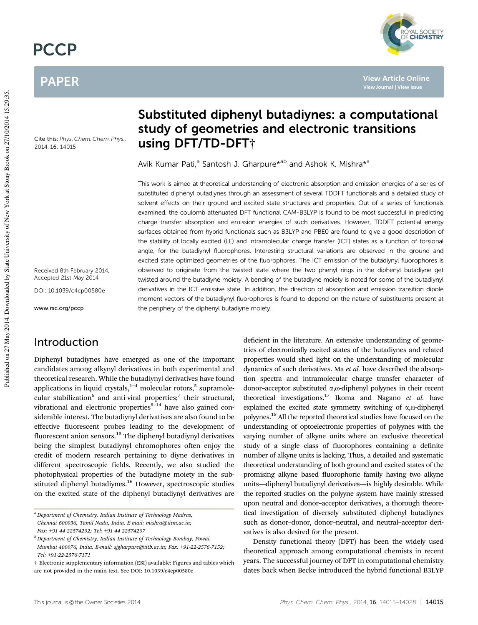# **PCCP**

# PAPER

Cite this: *Phys. Chem. Chem. Phys.,* 2014, 16, 14015

Received 8th February 2014, Accepted 21st May 2014

DOI: 10.1039/c4cp00580e

www.rsc.org/pccp

## Introduction

Diphenyl butadiynes have emerged as one of the important candidates among alkynyl derivatives in both experimental and theoretical research. While the butadiynyl derivatives have found applications in liquid crystals, $1-4$  molecular rotors, $5$  supramolecular stabilization<sup>6</sup> and anti-viral properties;<sup>7</sup> their structural, vibrational and electronic properties $8-14$  have also gained considerable interest. The butadiynyl derivatives are also found to be effective fluorescent probes leading to the development of fluorescent anion sensors.<sup>15</sup> The diphenyl butadiynyl derivatives being the simplest butadiynyl chromophores often enjoy the credit of modern research pertaining to diyne derivatives in different spectroscopic fields. Recently, we also studied the photophysical properties of the butadiyne moiety in the substituted diphenyl butadiynes.<sup>16</sup> However, spectroscopic studies on the excited state of the diphenyl butadiynyl derivatives are

# Substituted diphenyl butadiynes: a computational study of geometries and electronic transitions using DFT/TD-DFT†

Avik Kumar Pati,<sup>a</sup> Santosh J. Gharpure\*<sup>ab</sup> and Ashok K. Mishra\*<sup>a</sup>

This work is aimed at theoretical understanding of electronic absorption and emission energies of a series of substituted diphenyl butadiynes through an assessment of several TDDFT functionals and a detailed study of solvent effects on their ground and excited state structures and properties. Out of a series of functionals examined, the coulomb attenuated DFT functional CAM-B3LYP is found to be most successful in predicting charge transfer absorption and emission energies of such derivatives. However, TDDFT potential energy surfaces obtained from hybrid functionals such as B3LYP and PBE0 are found to give a good description of the stability of locally excited (LE) and intramolecular charge transfer (ICT) states as a function of torsional angle, for the butadiynyl fluorophores. Interesting structural variations are observed in the ground and excited state optimized geometries of the fluorophores. The ICT emission of the butadiynyl fluorophores is observed to originate from the twisted state where the two phenyl rings in the diphenyl butadiyne get twisted around the butadiyne moiety. A bending of the butadiyne moiety is noted for some of the butadiynyl derivatives in the ICT emissive state. In addition, the direction of absorption and emission transition dipole moment vectors of the butadiynyl fluorophores is found to depend on the nature of substituents present at the periphery of the diphenyl butadiyne moiety.

> deficient in the literature. An extensive understanding of geometries of electronically excited states of the butadiynes and related properties would shed light on the understanding of molecular dynamics of such derivatives. Ma *et al.* have described the absorption spectra and intramolecular charge transfer character of donor-acceptor substituted  $\alpha$ , o-diphenyl polyynes in their recent theoretical investigations.<sup>17</sup> Ikoma and Nagano *et al.* have explained the excited state symmetry switching of  $\alpha$ , $\omega$ -diphenyl polyynes.<sup>18</sup> All the reported theoretical studies have focused on the understanding of optoelectronic properties of polyynes with the varying number of alkyne units where an exclusive theoretical study of a single class of fluorophores containing a definite number of alkyne units is lacking. Thus, a detailed and systematic theoretical understanding of both ground and excited states of the promising alkyne based fluorophoric family having two alkyne units—diphenyl butadiynyl derivatives—is highly desirable. While the reported studies on the polyyne system have mainly stressed upon neutral and donor–acceptor derivatives, a thorough theoretical investigation of diversely substituted diphenyl butadiynes such as donor–donor, donor–neutral, and neutral–acceptor derivatives is also desired for the present.

> Density functional theory (DFT) has been the widely used theoretical approach among computational chemists in recent years. The successful journey of DFT in computational chemistry dates back when Becke introduced the hybrid functional B3LYP

.<br>DYAL SOCIETY<br>F **CHEMISTRY** 

*<sup>a</sup> Department of Chemistry, Indian Institute of Technology Madras, Chennai 600036, Tamil Nadu, India. E-mail: mishra@iitm.ac.in; Fax:* +*91-44-22574202; Tel:* +*91-44-22574207*

*<sup>b</sup> Department of Chemistry, Indian Institute of Technology Bombay, Powai, Mumbai 400076, India. E-mail: sjgharpure@iitb.ac.in; Fax:* +*91-22-2576-7152; Tel:* +*91-22-2576-7171*

<sup>†</sup> Electronic supplementary information (ESI) available: Figures and tables which are not provided in the main text. See DOI: 10.1039/c4cp00580e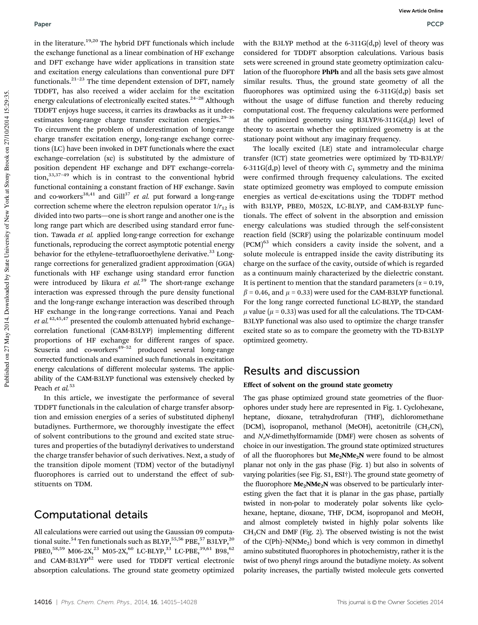in the literature.19,20 The hybrid DFT functionals which include the exchange functional as a linear combination of HF exchange and DFT exchange have wider applications in transition state and excitation energy calculations than conventional pure DFT functionals. $2^{1-23}$  The time dependent extension of DFT, namely TDDFT, has also received a wider acclaim for the excitation energy calculations of electronically excited states.<sup>24-28</sup> Although TDDFT enjoys huge success, it carries its drawbacks as it underestimates long-range charge transfer excitation energies. $29-36$ To circumvent the problem of underestimation of long-range charge transfer excitation energy, long-range exchange corrections (LC) have been invoked in DFT functionals where the exact exchange–correlation (xc) is substituted by the admixture of position dependent HF exchange and DFT exchange–correlation, $33,37-49$  which is in contrast to the conventional hybrid functional containing a constant fraction of HF exchange. Savin and co-workers<sup>38,41</sup> and Gill<sup>37</sup> *et al.* put forward a long-range correction scheme where the electron repulsion operator  $1/r_{12}$  is divided into two parts—one is short range and another one is the long range part which are described using standard error function. Tawada *et al.* applied long-range correction for exchange functionals, reproducing the correct asymptotic potential energy behavior for the ethylene-tetrafluoroethylene derivative.<sup>33</sup> Longrange corrections for generalized gradient approximation (GGA) functionals with HF exchange using standard error function were introduced by Iikura et al.<sup>39</sup> The short-range exchange interaction was expressed through the pure density functional and the long-range exchange interaction was described through HF exchange in the long-range corrections. Yanai and Peach *et al.*42,45,47 presented the coulomb attenuated hybrid exchange– correlation functional (CAM-B3LYP) implementing different proportions of HF exchange for different ranges of space. Scuseria and co-workers $49-52$  produced several long-range corrected functionals and examined such functionals in excitation energy calculations of different molecular systems. The applicability of the CAM-B3LYP functional was extensively checked by Peach *et al.*<sup>53</sup>

In this article, we investigate the performance of several TDDFT functionals in the calculation of charge transfer absorption and emission energies of a series of substituted diphenyl butadiynes. Furthermore, we thoroughly investigate the effect of solvent contributions to the ground and excited state structures and properties of the butadiynyl derivatives to understand the charge transfer behavior of such derivatives. Next, a study of the transition dipole moment (TDM) vector of the butadiynyl fluorophores is carried out to understand the effect of substituents on TDM.

# Computational details

All calculations were carried out using the Gaussian 09 computational suite.<sup>54</sup> Ten functionals such as BLYP,  $55,56$  PBE,  $57$  B3LYP,  $20$ PBE0,<sup>58,59</sup> M06-2X,<sup>23</sup> M05-2X,<sup>60</sup> LC-BLYP,<sup>33</sup> LC-PBE,<sup>39,61</sup> B98,<sup>62</sup> and CAM-B3LYP<sup>42</sup> were used for TDDFT vertical electronic absorption calculations. The ground state geometry optimized

with the B3LYP method at the 6-311G(d,p) level of theory was considered for TDDFT absorption calculations. Various basis sets were screened in ground state geometry optimization calculation of the fluorophore PhPh and all the basis sets gave almost similar results. Thus, the ground state geometry of all the fluorophores was optimized using the  $6-311G(d,p)$  basis set without the usage of diffuse function and thereby reducing computational cost. The frequency calculations were performed at the optimized geometry using B3LYP/6-311G(d,p) level of theory to ascertain whether the optimized geometry is at the stationary point without any imaginary frequency.

The locally excited (LE) state and intramolecular charge transfer (ICT) state geometries were optimized by TD-B3LYP/ 6-311G(d,p) level of theory with  $C_1$  symmetry and the minima were confirmed through frequency calculations. The excited state optimized geometry was employed to compute emission energies as vertical de-excitations using the TDDFT method with B3LYP, PBE0, M052X, LC-BLYP, and CAM-B3LYP functionals. The effect of solvent in the absorption and emission energy calculations was studied through the self-consistent reaction field (SCRF) using the polarizable continuum model (PCM)<sup>63</sup> which considers a cavity inside the solvent, and a solute molecule is entrapped inside the cavity distributing its charge on the surface of the cavity, outside of which is regarded as a continuum mainly characterized by the dielectric constant. It is pertinent to mention that the standard parameters ( $\alpha$  = 0.19,  $\beta$  = 0.46, and  $\mu$  = 0.33) were used for the CAM-B3LYP functional. For the long range corrected functional LC-BLYP, the standard  $\mu$  value ( $\mu$  = 0.33) was used for all the calculations. The TD-CAM-B3LYP functional was also used to optimize the charge transfer excited state so as to compare the geometry with the TD-B3LYP optimized geometry.

# Results and discussion

### Effect of solvent on the ground state geometry

The gas phase optimized ground state geometries of the fluorophores under study here are represented in Fig. 1. Cyclohexane, heptane, dioxane, tetrahydrofuran (THF), dichloromethane (DCM), isopropanol, methanol (MeOH), acetonitrile  $(CH_3CN)$ , and *N*,*N*-dimethylformamide (DMF) were chosen as solvents of choice in our investigation. The ground state optimized structures of all the fluorophores but  $Me<sub>2</sub>NMe<sub>2</sub>N$  were found to be almost planar not only in the gas phase (Fig. 1) but also in solvents of varying polarities (see Fig. S1, ESI†). The ground state geometry of the fluorophore  $Me<sub>2</sub>NMe<sub>2</sub>N$  was observed to be particularly interesting given the fact that it is planar in the gas phase, partially twisted in non-polar to moderately polar solvents like cyclohexane, heptane, dioxane, THF, DCM, isopropanol and MeOH, and almost completely twisted in highly polar solvents like  $CH<sub>3</sub>CN$  and DMF (Fig. 2). The observed twisting is not the twist of the  $C(Ph)$ –N(NMe<sub>2</sub>) bond which is very common in dimethyl amino substituted fluorophores in photochemistry, rather it is the twist of two phenyl rings around the butadiyne moiety. As solvent polarity increases, the partially twisted molecule gets converted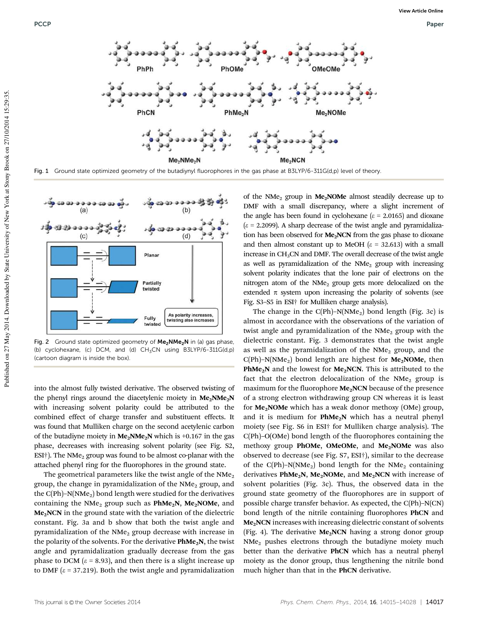





Fig. 2 Ground state optimized geometry of  $Me<sub>2</sub>NNe<sub>2</sub>N$  in (a) gas phase, (b) cyclohexane, (c) DCM, and (d)  $CH<sub>3</sub>CN$  using B3LYP/6-311G(d,p) (cartoon diagram is inside the box).

into the almost fully twisted derivative. The observed twisting of the phenyl rings around the diacetylenic moiety in  $Me<sub>2</sub>NMe<sub>2</sub>N$ with increasing solvent polarity could be attributed to the combined effect of charge transfer and substituent effects. It was found that Mulliken charge on the second acetylenic carbon of the butadiyne moiety in  $Me<sub>2</sub>NMe<sub>2</sub>N$  which is +0.167 in the gas phase, decreases with increasing solvent polarity (see Fig. S2, ESI<sup>†</sup>). The NMe<sub>2</sub> group was found to be almost co-planar with the attached phenyl ring for the fluorophores in the ground state.

The geometrical parameters like the twist angle of the  $NMe<sub>2</sub>$ group, the change in pyramidalization of the  $NMe<sub>2</sub>$  group, and the  $C(Ph)$ –N(NMe<sub>2</sub>) bond length were studied for the derivatives containing the NMe<sub>2</sub> group such as  $PhMe_2N$ , Me<sub>2</sub>NOMe, and Me<sub>2</sub>NCN in the ground state with the variation of the dielectric constant. Fig. 3a and b show that both the twist angle and pyramidalization of the  $NMe<sub>2</sub>$  group decrease with increase in the polarity of the solvents. For the derivative  $PhMe<sub>2</sub>N$ , the twist angle and pyramidalization gradually decrease from the gas phase to DCM ( $\varepsilon$  = 8.93), and then there is a slight increase up to DMF ( $\varepsilon$  = 37.219). Both the twist angle and pyramidalization

of the NMe<sub>2</sub> group in Me<sub>2</sub>NOMe almost steadily decrease up to DMF with a small discrepancy, where a slight increment of the angle has been found in cyclohexane ( $\epsilon$  = 2.0165) and dioxane  $(\varepsilon = 2.2099)$ . A sharp decrease of the twist angle and pyramidalization has been observed for **Me<sub>2</sub>NCN</mark>** from the gas phase to dioxane and then almost constant up to MeOH  $(\varepsilon = 32.613)$  with a small increase in CH<sub>3</sub>CN and DMF. The overall decrease of the twist angle as well as pyramidalization of the  $NMe<sub>2</sub>$  group with increasing solvent polarity indicates that the lone pair of electrons on the nitrogen atom of the  $NMe<sub>2</sub>$  group gets more delocalized on the extended  $\pi$  system upon increasing the polarity of solvents (see Fig. S3–S5 in ESI† for Mulliken charge analysis).

The change in the  $C(Ph)$ –N(NMe<sub>2</sub>) bond length (Fig. 3c) is almost in accordance with the observations of the variation of twist angle and pyramidalization of the  $NMe<sub>2</sub>$  group with the dielectric constant. Fig. 3 demonstrates that the twist angle as well as the pyramidalization of the  $NMe<sub>2</sub>$  group, and the  $C(Ph)$ –N(NMe<sub>2</sub>) bond length are highest for **Me<sub>2</sub>NOMe**, then **PhMe<sub>2</sub>N** and the lowest for **Me<sub>2</sub>NCN</mark>**. This is attributed to the fact that the electron delocalization of the  $NMe<sub>2</sub>$  group is maximum for the fluorophore  $Me<sub>2</sub>NCN$  because of the presence of a strong electron withdrawing group CN whereas it is least for  $Me<sub>2</sub>NOMe$  which has a weak donor methoxy (OMe) group, and it is medium for  $PhMe<sub>2</sub>N$  which has a neutral phenyl moiety (see Fig. S6 in ESI† for Mulliken charge analysis). The C(Ph)–O(OMe) bond length of the fluorophores containing the methoxy group PhOMe, OMeOMe, and  $Me<sub>2</sub>$ NOMe was also observed to decrease (see Fig. S7, ESI†), similar to the decrease of the C(Ph)-N(NMe<sub>2</sub>) bond length for the NMe<sub>2</sub> containing derivatives PhMe<sub>2</sub>N, Me<sub>2</sub>NOMe, and Me<sub>2</sub>NCN with increase of solvent polarities (Fig. 3c). Thus, the observed data in the ground state geometry of the fluorophores are in support of possible charge transfer behavior. As expected, the C(Ph)–N(CN) bond length of the nitrile containing fluorophores PhCN and Me<sub>2</sub>NCN increases with increasing dielectric constant of solvents (Fig. 4). The derivative  $Me<sub>2</sub>NCN$  having a strong donor group NMe<sup>2</sup> pushes electrons through the butadiyne moiety much better than the derivative PhCN which has a neutral phenyl moiety as the donor group, thus lengthening the nitrile bond much higher than that in the PhCN derivative.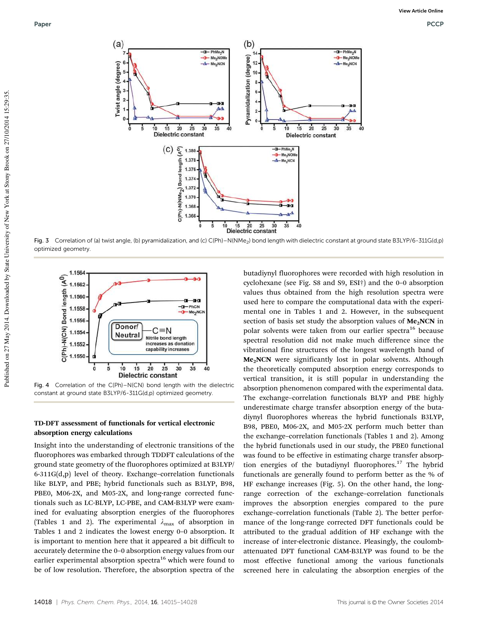

Fig. 3 Correlation of (a) twist angle, (b) pyramidalization, and (c) C(Ph)-N(NMe<sub>2</sub>) bond length with dielectric constant at ground state B3LYP/6-311G(d,p) optimized geometry.



Fig. 4 Correlation of the C(Ph)–N(CN) bond length with the dielectric constant at ground state B3LYP/6-311G(d,p) optimized geometry.

#### TD-DFT assessment of functionals for vertical electronic absorption energy calculations

Insight into the understanding of electronic transitions of the fluorophores was embarked through TDDFT calculations of the ground state geometry of the fluorophores optimized at B3LYP/ 6-311G(d,p) level of theory. Exchange–correlation functionals like BLYP, and PBE; hybrid functionals such as B3LYP, B98, PBE0, M06-2X, and M05-2X, and long-range corrected functionals such as LC-BLYP, LC-PBE, and CAM-B3LYP were examined for evaluating absorption energies of the fluorophores (Tables 1 and 2). The experimental  $\lambda_{\text{max}}$  of absorption in Tables 1 and 2 indicates the lowest energy 0–0 absorption. It is important to mention here that it appeared a bit difficult to accurately determine the 0–0 absorption energy values from our earlier experimental absorption spectra<sup>16</sup> which were found to be of low resolution. Therefore, the absorption spectra of the

butadiynyl fluorophores were recorded with high resolution in cyclohexane (see Fig. S8 and S9, ESI†) and the 0–0 absorption values thus obtained from the high resolution spectra were used here to compare the computational data with the experimental one in Tables 1 and 2. However, in the subsequent section of basis set study the absorption values of  $Me<sub>2</sub>NCN$  in polar solvents were taken from our earlier spectra<sup>16</sup> because spectral resolution did not make much difference since the vibrational fine structures of the longest wavelength band of Me2NCN were significantly lost in polar solvents. Although the theoretically computed absorption energy corresponds to vertical transition, it is still popular in understanding the absorption phenomenon compared with the experimental data. The exchange–correlation functionals BLYP and PBE highly underestimate charge transfer absorption energy of the butadiynyl fluorophores whereas the hybrid functionals B3LYP, B98, PBE0, M06-2X, and M05-2X perform much better than the exchange–correlation functionals (Tables 1 and 2). Among the hybrid functionals used in our study, the PBE0 functional was found to be effective in estimating charge transfer absorption energies of the butadiynyl fluorophores.<sup>17</sup> The hybrid functionals are generally found to perform better as the % of HF exchange increases (Fig. 5). On the other hand, the longrange correction of the exchange–correlation functionals improves the absorption energies compared to the pure exchange–correlation functionals (Table 2). The better performance of the long-range corrected DFT functionals could be attributed to the gradual addition of HF exchange with the increase of inter-electronic distance. Pleasingly, the coulombattenuated DFT functional CAM-B3LYP was found to be the most effective functional among the various functionals screened here in calculating the absorption energies of the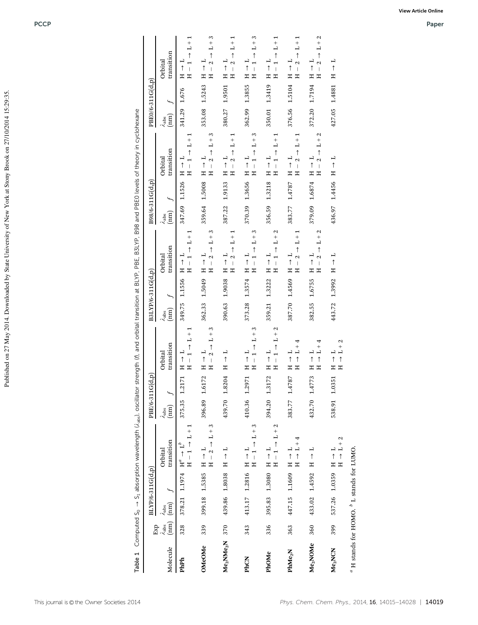| 3<br>$+2$<br>3<br>H<br>$L + 1$<br>$\frac{+}{1}$<br>$\overline{1}$<br>$^{+}$<br>$\overline{L}$<br>⊣<br>⊣<br>transition<br>$\uparrow$<br>$\uparrow$<br>$\uparrow$<br>$\uparrow$<br>$\uparrow$<br>Orbital<br>$\overline{a}$<br>$\overline{a}$<br>⊣<br>H<br>⊣<br>⊣<br>$\frac{1}{1}$<br>$\frac{1}{1}$<br>$\mathbf{\Omega}$<br>$\overline{\phantom{0}}$<br>$\mathbf{\Omega}$<br>$\mathbf{\Omega}$<br>$\uparrow$<br>$\uparrow$<br>$\uparrow$<br>$\uparrow$<br>$\uparrow$<br>↑<br>$\overline{\phantom{a}}$<br>Ξ<br>Ξ<br>工<br>Ξ<br>H<br>Ξ<br>Ξ<br>Ξ<br>Ξ<br>Ξ<br>Ξ<br>Ξ<br>1.1556<br>1.5049<br>1.9038<br>1.3574<br>1.4569<br>1.3222<br>4<br>387.70<br>390.63<br>362.33<br>373.28<br>359.21<br>349.75<br>$\lambda_{\rm abs}$ (nm)<br>$\omega$<br>3<br>$\mathbf{c}$<br>↽<br>$\frac{1}{2}$<br>$+$<br>$^{+}$<br>$\overline{a}$<br>$\overline{a}$<br>L<br>4<br>transition<br>$\uparrow$<br>$\uparrow$<br>$\uparrow$<br>$\uparrow$<br>$^{+}$<br>Orbital<br>$\overline{a}$<br>H<br>$\overline{\phantom{a}}$<br>$\overline{1}$<br>⊣<br>コ<br>⊣<br>$\overline{ }$<br>$\overline{ }$<br>$\mathbf{\Omega}$<br>$\overline{\phantom{0}}$<br>$\uparrow$<br>$\uparrow$<br>$\uparrow$<br>$\uparrow$<br>$\uparrow$<br>$\uparrow$<br>$\uparrow$<br>$\mathbf{I}$<br>$\overline{1}$<br>$\overline{\phantom{a}}$<br>Ξ<br>Ξ<br>耳<br>Ξ<br>耳<br>Ξ<br>Ξ<br>Ξ<br>Ξ<br>耳<br>耳<br>1.6172<br>1.8204<br>1.3172<br>1.2171<br>1.2971<br>1.4787<br>375.35<br>396.89<br>439.70<br>410.36<br>394.20<br>383.77<br>$\lambda_{\rm abs}$ (nm)<br>$\rightarrow$ L + 3<br>3<br>$+2$<br>$^{+}$<br>$^{+}$<br>$\frac{1}{1}$<br>┙<br>L<br>4<br>transition<br>↑<br>$^{+}$<br>$\ensuremath{\mathop{\rightharpoonup}\limits^b}$<br>Orbital<br>$\frac{1}{1}$<br>H<br>$\frac{1}{1}$<br>⊣<br>$\mathbf{c}$<br>$\overline{ }$<br>$\overline{\phantom{0}}$<br>$\overline{\phantom{0}}$<br>$\uparrow$<br>$\uparrow$<br>$\uparrow$<br>↑<br>$\overline{\phantom{a}}$<br>$\overline{1}$<br>$\mathbb{H}^a$<br>$\mathbf{H}$<br>Ξ<br>Ξ<br>耳<br>ΗΗ<br>H<br>Ξ<br>工<br>国<br>$\mathop{\mathrm{BLYP}}\nolimits\!{6}\text{-}311\mathop{\mathrm{G}}\nolimits(\mathop{\mathrm{d}}\nolimits,\mathop{\mathrm{p}}\nolimits)$<br>1.2816<br>1.8038<br>1.3080<br>1.5385<br>1.1609<br>1.1974<br>447.15<br>439.86<br>395.83<br>399.18<br>413.17<br>378.21<br>$\frac{\lambda_{\text{abs}}}{\text{(nm)}}$<br>$\lambda_{\rm abs}$<br>(nm)<br>Eхр<br>339<br>328<br>370<br>343<br>336<br>363<br>Me <sub>2</sub> NMe <sub>2</sub> N<br>OMeOMe<br>Molecule<br>$\mathbf{PhMe}_2\mathbf{N}$<br>PhOMe<br>PhCN<br>PhPh | Orbital                                                                                                                                        | Orbital                                                                                                  |
|----------------------------------------------------------------------------------------------------------------------------------------------------------------------------------------------------------------------------------------------------------------------------------------------------------------------------------------------------------------------------------------------------------------------------------------------------------------------------------------------------------------------------------------------------------------------------------------------------------------------------------------------------------------------------------------------------------------------------------------------------------------------------------------------------------------------------------------------------------------------------------------------------------------------------------------------------------------------------------------------------------------------------------------------------------------------------------------------------------------------------------------------------------------------------------------------------------------------------------------------------------------------------------------------------------------------------------------------------------------------------------------------------------------------------------------------------------------------------------------------------------------------------------------------------------------------------------------------------------------------------------------------------------------------------------------------------------------------------------------------------------------------------------------------------------------------------------------------------------------------------------------------------------------------------------------------------------------------------------------------------------------------------------------------------------------------------------------------------------------------------------------------------------------------------------------------------------------------------------------------------------------------------------------------------------------------------------------------------------------------------------------------------------------------------------------------------------------------------------------------------------------------|------------------------------------------------------------------------------------------------------------------------------------------------|----------------------------------------------------------------------------------------------------------|
|                                                                                                                                                                                                                                                                                                                                                                                                                                                                                                                                                                                                                                                                                                                                                                                                                                                                                                                                                                                                                                                                                                                                                                                                                                                                                                                                                                                                                                                                                                                                                                                                                                                                                                                                                                                                                                                                                                                                                                                                                                                                                                                                                                                                                                                                                                                                                                                                                                                                                                                      | $\lambda_{\text{abs}}$ (nm)<br>transition<br>$\overline{\phantom{a}}$<br>$\lambda_{\text{abs}}$ (nm)                                           | transition<br>4                                                                                          |
|                                                                                                                                                                                                                                                                                                                                                                                                                                                                                                                                                                                                                                                                                                                                                                                                                                                                                                                                                                                                                                                                                                                                                                                                                                                                                                                                                                                                                                                                                                                                                                                                                                                                                                                                                                                                                                                                                                                                                                                                                                                                                                                                                                                                                                                                                                                                                                                                                                                                                                                      | 341.29<br>$L + 1$<br>$\uparrow$<br>⊣<br>$\overline{ }$<br>$\ $<br>Ξ<br>冨<br>1.1526<br>347.69                                                   | $\overline{a}$<br>$\overline{ }$<br>$\uparrow$<br>$\mathbf{I}$<br>$\boldsymbol{\Xi}$<br>$\Xi$<br>1.676   |
|                                                                                                                                                                                                                                                                                                                                                                                                                                                                                                                                                                                                                                                                                                                                                                                                                                                                                                                                                                                                                                                                                                                                                                                                                                                                                                                                                                                                                                                                                                                                                                                                                                                                                                                                                                                                                                                                                                                                                                                                                                                                                                                                                                                                                                                                                                                                                                                                                                                                                                                      | 353.08<br>3<br>$\overset{+}{\sqcup}$<br>$\uparrow$<br>⊣<br>$\mathbf{\Omega}$<br>$\uparrow$<br>耳<br>Ξ<br>1.5008<br>359.64                       | ⊣<br>$\mathbf{\Omega}$<br>$\uparrow$<br>$\mathbf{I}$<br>耳<br>Ξ<br>1.5243                                 |
|                                                                                                                                                                                                                                                                                                                                                                                                                                                                                                                                                                                                                                                                                                                                                                                                                                                                                                                                                                                                                                                                                                                                                                                                                                                                                                                                                                                                                                                                                                                                                                                                                                                                                                                                                                                                                                                                                                                                                                                                                                                                                                                                                                                                                                                                                                                                                                                                                                                                                                                      | 380.27<br>$\frac{1}{1}$<br>L<br>$\uparrow$<br>$\overline{a}$<br>$\mathbf{\hat{c}}$<br>$\uparrow$<br>Ξ<br>冨<br>1.9133<br>387.22                 | H<br>$\mathbf{\Omega}$<br>↑<br>Ξ<br>Ξ<br>1.9501                                                          |
|                                                                                                                                                                                                                                                                                                                                                                                                                                                                                                                                                                                                                                                                                                                                                                                                                                                                                                                                                                                                                                                                                                                                                                                                                                                                                                                                                                                                                                                                                                                                                                                                                                                                                                                                                                                                                                                                                                                                                                                                                                                                                                                                                                                                                                                                                                                                                                                                                                                                                                                      | 362.99<br>3<br>$^{+}$<br>$\overline{1}$<br>$\uparrow$<br>トイ<br>$\overline{ }$<br>$\overline{1}$<br>Ξ<br>Ξ<br>1.3656<br>370.39                  | ⊣<br>$\overline{ }$<br>$\uparrow$<br>$\overline{1}$<br>Ξ<br>Ξ<br>1.3855                                  |
|                                                                                                                                                                                                                                                                                                                                                                                                                                                                                                                                                                                                                                                                                                                                                                                                                                                                                                                                                                                                                                                                                                                                                                                                                                                                                                                                                                                                                                                                                                                                                                                                                                                                                                                                                                                                                                                                                                                                                                                                                                                                                                                                                                                                                                                                                                                                                                                                                                                                                                                      | 350.01<br>$+1$<br>L<br>$\uparrow$<br>⊣<br>$\overline{\phantom{0}}$<br>$\uparrow$<br>$\overline{\phantom{a}}$<br>Ξ<br>Ξ<br>1.3218<br>356.59     | $\overline{\phantom{0}}$<br>$\uparrow$<br>$\overline{\phantom{a}}$<br>Ξ<br>Ξ<br>1.3419                   |
|                                                                                                                                                                                                                                                                                                                                                                                                                                                                                                                                                                                                                                                                                                                                                                                                                                                                                                                                                                                                                                                                                                                                                                                                                                                                                                                                                                                                                                                                                                                                                                                                                                                                                                                                                                                                                                                                                                                                                                                                                                                                                                                                                                                                                                                                                                                                                                                                                                                                                                                      | $\frac{1}{1}$<br>⊣<br>$\uparrow$<br>$\frac{1}{1}$<br>$\mathbf{\Omega}$<br>$\overline{\phantom{a}}$<br>Ξ<br>ᄑ<br>1.4787<br>383.77               | $\overline{a}$<br>$\mathbf{\Omega}$<br>$\uparrow$<br>$\overline{\phantom{a}}$<br>Ξ<br>Ξ<br>376.56 1.5104 |
| $\rightarrow$ L + 2<br>$\overline{a}$<br>$\mathbf{a}$<br>↑<br>$\overline{\phantom{a}}$<br>H<br>Ξ<br>1.6755<br>382.55<br>4<br>$\mathbf{L}$ +<br>ᅴ<br>$\uparrow$<br>$\uparrow$<br>H<br>冨<br>1.4773<br>432.70<br>凵<br>↑<br>Ξ<br>1.4592<br>433.02<br>360<br>Me <sub>2</sub> NOMe                                                                                                                                                                                                                                                                                                                                                                                                                                                                                                                                                                                                                                                                                                                                                                                                                                                                                                                                                                                                                                                                                                                                                                                                                                                                                                                                                                                                                                                                                                                                                                                                                                                                                                                                                                                                                                                                                                                                                                                                                                                                                                                                                                                                                                         | 372.20<br>$L + 2$<br>$\uparrow$<br>L<br>$\mathbf{\Omega}$<br>$\uparrow$<br>$\begin{array}{c} \hline \end{array}$<br>H<br>冨<br>1.6874<br>379.09 | H<br>$\mathbf{\Omega}$<br>$\uparrow$<br>$\vert$<br>H<br>冨<br>1.7194                                      |
| ⊣<br>$\uparrow$<br>$\mathbb{H}$<br>1.3992<br>443.72<br>$\mathcal{L}$<br>$^{+}$<br>$\overline{\phantom{a}}$<br>ᅴ<br>$\uparrow$<br>$\uparrow$<br>Ξ<br>H<br>1.0351<br>538.91<br>$\rightarrow$ L + 2<br>⊣<br>↑<br>$\Xi$<br>Ξ<br>1.0359<br>537.26<br>399<br>Me <sub>2</sub> NCN                                                                                                                                                                                                                                                                                                                                                                                                                                                                                                                                                                                                                                                                                                                                                                                                                                                                                                                                                                                                                                                                                                                                                                                                                                                                                                                                                                                                                                                                                                                                                                                                                                                                                                                                                                                                                                                                                                                                                                                                                                                                                                                                                                                                                                           | 427.05<br>⊣<br>$\uparrow$<br>H<br>1.4456<br>436.97                                                                                             | $\uparrow$<br>$\mathbb{H}$<br>1.4881                                                                     |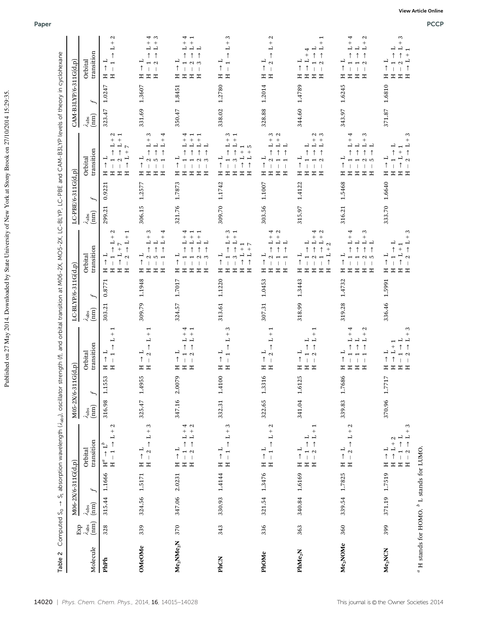| Table 2                                                |                                                                                  |                              |                              | Computed S <sub>0</sub> → S <sub>1</sub> absorption wavelength (/ <sub>abs</sub> ), oscillator strength (f), and orbital transition at M06-2X, MO5-2X, LC-BLYP, LC-PBE and CAM-B3LYP levels of theory in cyclohexane |                          |                 |                                                                                      |                                               |                                                                                                                                                                                                       |                                            |                                                                                                                                                                                                                          |                                                      |                                                                                                                     |
|--------------------------------------------------------|----------------------------------------------------------------------------------|------------------------------|------------------------------|----------------------------------------------------------------------------------------------------------------------------------------------------------------------------------------------------------------------|--------------------------|-----------------|--------------------------------------------------------------------------------------|-----------------------------------------------|-------------------------------------------------------------------------------------------------------------------------------------------------------------------------------------------------------|--------------------------------------------|--------------------------------------------------------------------------------------------------------------------------------------------------------------------------------------------------------------------------|------------------------------------------------------|---------------------------------------------------------------------------------------------------------------------|
|                                                        |                                                                                  |                              | M06-2X/6-311G(d,p)           |                                                                                                                                                                                                                      | $M05-2X/t$               | $6 - 311G(d,p)$ |                                                                                      | LC-BLYP/6-311G(d,p)                           |                                                                                                                                                                                                       | LC-PBE/6-311G(d,p)                         |                                                                                                                                                                                                                          | $CAM-B3LYP/6-311G(d,p)$                              |                                                                                                                     |
| Molecule                                               | $\begin{array}{c} \text{Exp} \\ \lambda_{\text{abs}} \\ \text{(nm)} \end{array}$ | $\frac{\lambda_{abs}}{(mm)}$ | 4                            | transition<br>Orbital                                                                                                                                                                                                | $\lambda_{\rm abs}$ (nm) | 4               | transition<br>Orbital                                                                | $\overline{f}$<br>$\lambda_{\rm abs}$<br>(nm) | transition<br>Orbital                                                                                                                                                                                 | $\overline{f}$<br>$\lambda_{\rm abs}$ (nm) | transition<br>Orbital                                                                                                                                                                                                    | $\overline{\phantom{a}}$<br>$\lambda_{\rm abs}$ (nm) | transition<br>Orbital                                                                                               |
| PhPh                                                   | 328                                                                              |                              | 315.44 1.1666 H <sup>a</sup> | $L + 2$<br>$\uparrow$<br>$\ensuremath{\mathop{\rightharpoonup}\limits^b}$<br>$\Xi$                                                                                                                                   | 316.98                   | 1.1553          | ٣<br>$+$<br>山<br>$\uparrow$<br>⊣<br>$\uparrow$<br>$\overline{\phantom{a}}$<br>Ξ<br>H | 0.8771<br>303.21                              | Z<br>$L + 1$<br>$\overset{+}{\sqcup}$<br>$\uparrow$<br>$\uparrow$<br>$^{+}$<br>$\overline{a}$<br>$\frac{1}{1}$<br>$\mathbf{\Omega}$<br>$\uparrow$<br>J<br>Ξ<br>工<br>工<br>모                            | 0.9221<br>299.21                           | Z<br>$^{+}$<br>⊣<br>ᆜ<br>$\triangleright$<br>$\uparrow$<br>$^{+}$<br>⊣<br>$\uparrow$<br>↑<br>H<br>H<br>Ξ<br>Ξ                                                                                                            | 1.0247<br>323.47                                     | $\mathbf{\mathcal{L}}$<br>$^{+}$<br>山<br>$\uparrow$<br>$\uparrow$<br>$\overline{\phantom{a}}$<br>H<br>工             |
| OMeOMe                                                 | 339                                                                              |                              | 324.56 1.5171                | $+3$<br>$\overline{a}$<br>$\uparrow$<br>$\frac{1}{1}$<br>$\mathbf{\Omega}$<br>Ξ<br>H                                                                                                                                 | 325.47                   | 1.4955          | $^{+}$<br>⊣<br>$\uparrow$<br>⊣<br>$\mathbf{\tilde{c}}$<br>$\uparrow$<br>Ξ<br>Ξ       | 1.1948<br>309.79                              | $L + 3$<br>$L + 4$<br>$\overline{1}$<br>$\uparrow$<br>$\uparrow$<br>5<br>↑<br>工<br>Ξ<br>Ξ<br>Ξ                                                                                                        | 1.2577<br>306.15                           | 3<br>4<br>$^{+}$<br>$\overline{\phantom{a}}$<br>$\overline{1}$<br>凵<br>$\uparrow$<br>$\uparrow$<br>↑<br>$\overline{\phantom{a}}$<br>H<br>$\mathbb{H}$<br>Ξ<br>Ξ                                                          | 1.3607<br>331.69                                     | 4<br>$^{+}$<br>$^{+}$<br>⊐<br>$\mathbf{\Omega}$<br>H<br>Ξ<br>ェ                                                      |
| Me <sub>2</sub> NMe <sub>2</sub> N                     | 370                                                                              |                              | 347.06 2.0231                | 40<br>$\mathbf{L}^+$<br>$^{+}$<br>$\uparrow$<br>⊣<br>$\mathbf{\Omega}$<br>$\mathbb H$<br>Ξ<br>H                                                                                                                      | 347.16                   | 2.0079          | ↤<br>$^{+}$<br>L<br>$\uparrow$<br>$\mathbf{\Omega}$<br>모<br>Ξ                        | 1.7017<br>324.57                              | $^{+}$<br>$^{+}$<br>山<br>山<br>コ<br>$\uparrow$<br>$\sim$ $\sim$<br>↑<br>모<br>工<br>Ξ<br>ェ                                                                                                               | 1.7873<br>321.76                           | $^{+}$<br>⊣<br>$\uparrow$<br>$\infty$<br>↑<br>工<br>Ξ<br>Ξ<br>Ξ                                                                                                                                                           | 1.8451<br>350.47                                     | 山<br>一<br>$\infty$<br>工<br>Ξ<br>Ξ<br>ェ                                                                              |
| PhCN                                                   | 343                                                                              | 330.93                       | 1.4144                       | S<br>$\overline{L}$<br>$\uparrow$<br>$\overline{a}$<br>$\overline{ }$<br>$\uparrow$<br>$\overline{1}$<br>Ξ<br>Ξ                                                                                                      | 332.31                   | 1.4100          | S<br>$^{+}$<br>┙<br>$\uparrow$<br>Ξ<br>Ξ                                             | 1.1220<br>313.61                              | S<br>$\qquad \qquad +$<br>$\ddot{}$<br>L<br>⊣<br>$\overline{ }$<br>$\uparrow$<br>$\uparrow$<br>$^{+}$<br>$\overset{+}{\sqcup}$<br>$\overline{a}$<br>$\uparrow$<br>$\uparrow$<br>Ξ<br>Ξ<br>H<br>Ξ<br>Ξ | 1.1742<br>309.70                           | $\sim$<br>$\! + \!\!\!\!$<br>$^{+}$<br>$\overline{a}$<br>$\overline{a}$<br>1<br>LO.<br>$\uparrow$<br>$^{+}$<br>↑<br>$^{+}$<br>$\overline{a}$<br>⊣<br>$\mathfrak{S}$<br>$\uparrow$<br>$\uparrow$<br>Ξ<br>Ξ<br>Ξ<br>H<br>Ξ | 1.2780<br>338.02                                     | 3<br>$^{+}$<br>$\overline{\phantom{0}}$<br>↑<br>Ξ<br>Ξ                                                              |
| PhOMe                                                  | 336                                                                              |                              | 321.54 1.3476                | $L + 2$<br>$\uparrow$<br>$\frac{1}{1}$<br>Ξ<br>H                                                                                                                                                                     | 322.65                   | 1.3316          | L<br>$\uparrow$<br>Ξ<br>노                                                            | 1.0453<br>307.31                              | 4<br>$\mathbf{\Omega}$<br>$^{+}$<br>$^{+}$<br>L<br>山<br>コ<br>$\uparrow$<br>$\uparrow$<br>凵<br>$\blacksquare$<br>$\overline{1}$<br>Ξ<br>Ξ<br>Ξ<br>ェ                                                    | 1.1007<br>303.56                           | $\sim$<br>$\mathbf{\Omega}$<br>$^{+}$<br>$^{+}$<br>山<br>ᅴ<br>↑<br>$\uparrow$<br>凵<br>↑<br>$\overline{1}$<br>$\mathbb{H}$<br>H<br>Ξ<br>ェ                                                                                  | 1.2014<br>328.88                                     | N<br>$^{+}$<br>$\mathbf{c}$<br>Ξ<br>Ξ                                                                               |
| PhMe <sub>2</sub> N                                    | 363                                                                              |                              | 340.84 1.6169                | $\frac{1}{1}$<br>$\frac{1}{\uparrow}$<br>コ<br>$\uparrow$<br>$\alpha$<br>$\overline{1}$<br>$\Xi$<br>Ξ<br>H                                                                                                            | 341.04                   | 1.6125          | È<br>ᆜ<br>$\uparrow$<br>↑<br>$\mathbf{\Omega}$<br>Ξ<br>工<br>Ξ                        | 1.3443<br>318.99                              | 4<br>$\mathbf{\Omega}$<br>$^{+}$<br>$\overset{+}{\sqcup}$<br>L<br>ー<br>$\mathbf{\Omega}$<br>$^{+}$<br>$\uparrow$<br>工<br>Ξ<br>Ξ<br>工<br>Ξ                                                             | 1.4122<br>315.97                           | റിന<br>$^{+}$<br>山<br>$\overline{1}$<br>凵<br>$\uparrow$<br>↑<br>$\mathbf{\Omega}$<br>↑<br>$\overline{\phantom{a}}$<br>$\mathbb{H}$<br>H<br>Ξ<br>Ξ                                                                        | 1.4789<br>344.60                                     | $\ddot{}$<br>⊣<br>4<br>$\uparrow$<br>$\ddot{}$<br>$\mathbf{\Omega}$<br>$\overline{\phantom{a}}$<br>H<br>工<br>Ξ<br>Ξ |
| Me <sub>2</sub> NOMe                                   | 360                                                                              |                              | 339.54 1.7825                | $L + 2$<br>H<br>$\mathbf{\hat{c}}$<br>$\uparrow$<br>Ξ<br>耳                                                                                                                                                           | 339.83                   | 1.7686          | 4<br>N<br>$^{+}$<br>L<br>$\uparrow$<br>$\overline{\phantom{0}}$<br>工<br>Ξ<br>Ξ       | 1.4732<br>319.28                              | 4<br>3<br>$\overline{\phantom{a}}^+$<br>$_{\rm L}^{+}$<br>中<br>$\uparrow$<br>$\uparrow$<br>$\sim$ 10<br>H<br>Ξ<br>Ξ<br>Ξ                                                                              | 1.5468<br>316.21                           | 4<br>3<br>$^{+}$<br>$^{+}$<br>$\overline{\phantom{a}}$<br>ᅴ<br>$\uparrow$<br>$\uparrow$<br>N<br>in,<br>↑<br>$\mathbf{I}$<br>Ξ<br>Ξ<br>Ξ<br>Ξ                                                                             | 1.6245<br>343.97                                     | 4<br>$\mathbf{\Omega}$<br>$^{+}$<br>$^{+}$<br>L<br>$\mathbf{\Omega}$<br>$\mathbb{H}$<br>Ξ.<br>Ξ                     |
| Me <sub>2</sub> NCN                                    | 399                                                                              |                              | 371.19 1.7519                | 3<br>$^{+}$<br>$\overline{1}$<br>Z<br>$\uparrow$<br>$\uparrow$<br>$^{+}_{-1}$<br>ب<br>1<br>$\mathbf{\Omega}$<br>Ξ<br>$\Xi$<br>$\boldsymbol{\Xi}$<br>Ξ                                                                | 370.96                   | 1.7717          | S<br>1<br>Ξ<br>Ξ<br>Ξ<br>Ξ                                                           | 1.5991<br>336.46                              | 3<br>$^{+}$<br>$\uparrow$<br>$\mathbf{\Omega}$<br>↑<br>Ξ<br>Ξ<br>Ξ<br>Ξ                                                                                                                               | 1.6640<br>333.70                           | ĉ.<br>$^{+}$<br>$\uparrow$<br>$\uparrow$<br>⊣<br>$\mathbf{\Omega}$<br>↑<br>Ξ<br>Ξ<br>Ξ                                                                                                                                   | 1.6810<br>371.87                                     | 3<br>山<br>$^{+}$<br>↑<br>î<br>H<br>Ξ<br>Ξ<br>Ξ                                                                      |
| $\alpha$ H stands for HOMO. $\beta$ L stands for LUMO. |                                                                                  |                              |                              |                                                                                                                                                                                                                      |                          |                 |                                                                                      |                                               |                                                                                                                                                                                                       |                                            |                                                                                                                                                                                                                          |                                                      |                                                                                                                     |

Published on 27 May 2014. Downloaded by State University of New York at Stony Brook on 27/10/2014 15:29:35.

Published on 27 May 2014. Downloaded by State University of New York at Stony Brook on 27/10/2014 15:29:35.

**View Article Online**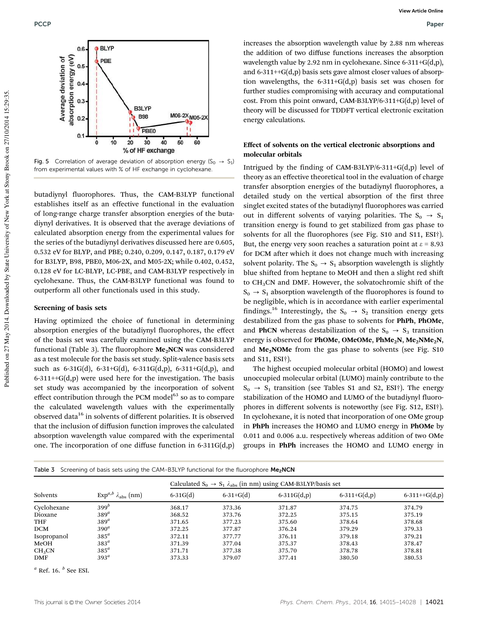

Fig. 5 Correlation of average deviation of absorption energy  $(S_0 \rightarrow S_1)$ from experimental values with % of HF exchange in cyclohexane.

butadiynyl fluorophores. Thus, the CAM-B3LYP functional establishes itself as an effective functional in the evaluation of long-range charge transfer absorption energies of the butadiynyl derivatives. It is observed that the average deviations of calculated absorption energy from the experimental values for the series of the butadiynyl derivatives discussed here are 0.605, 0.532 eV for BLYP, and PBE; 0.240, 0.209, 0.147, 0.187, 0.179 eV for B3LYP, B98, PBE0, M06-2X, and M05-2X; while 0.402, 0.452, 0.128 eV for LC-BLYP, LC-PBE, and CAM-B3LYP respectively in cyclohexane. Thus, the CAM-B3LYP functional was found to outperform all other functionals used in this study.

#### Screening of basis sets

Having optimized the choice of functional in determining absorption energies of the butadiynyl fluorophores, the effect of the basis set was carefully examined using the CAM-B3LYP functional (Table 3). The fluorophore  $Me<sub>2</sub>NCN$  was considered as a test molecule for the basis set study. Split-valence basis sets such as  $6-31G(d)$ ,  $6-31+G(d)$ ,  $6-311G(d,p)$ ,  $6-311+G(d,p)$ , and  $6-311++G(d,p)$  were used here for the investigation. The basis set study was accompanied by the incorporation of solvent effect contribution through the PCM model $^{63}$  so as to compare the calculated wavelength values with the experimentally observed data<sup>16</sup> in solvents of different polarities. It is observed that the inclusion of diffusion function improves the calculated absorption wavelength value compared with the experimental one. The incorporation of one diffuse function in 6-311G(d,p)

increases the absorption wavelength value by 2.88 nm whereas the addition of two diffuse functions increases the absorption wavelength value by 2.92 nm in cyclohexane. Since 6-311+G(d,p), and 6-311++G(d,p) basis sets gave almost closer values of absorption wavelengths, the 6-311+G(d,p) basis set was chosen for further studies compromising with accuracy and computational cost. From this point onward, CAM-B3LYP/6-311+G(d,p) level of theory will be discussed for TDDFT vertical electronic excitation energy calculations.

### Effect of solvents on the vertical electronic absorptions and molecular orbitals

Intrigued by the finding of CAM-B3LYP/6-311+G(d,p) level of theory as an effective theoretical tool in the evaluation of charge transfer absorption energies of the butadiynyl fluorophores, a detailed study on the vertical absorption of the first three singlet excited states of the butadiynyl fluorophores was carried out in different solvents of varying polarities. The  $S_0 \rightarrow S_1$ transition energy is found to get stabilized from gas phase to solvents for all the fluorophores (see Fig. S10 and S11, ESI†). But, the energy very soon reaches a saturation point at  $\varepsilon$  = 8.93 for DCM after which it does not change much with increasing solvent polarity. The  $S_0 \rightarrow S_1$  absorption wavelength is slightly blue shifted from heptane to MeOH and then a slight red shift to CH3CN and DMF. However, the solvatochromic shift of the  $S_0 \rightarrow S_1$  absorption wavelength of the fluorophores is found to be negligible, which is in accordance with earlier experimental findings.<sup>16</sup> Interestingly, the S<sub>0</sub>  $\rightarrow$  S<sub>2</sub> transition energy gets destabilized from the gas phase to solvents for PhPh, PhOMe, and **PhCN** whereas destabilization of the  $S_0 \rightarrow S_3$  transition energy is observed for PhOMe, OMeOMe, PhMe<sub>2</sub>N, Me<sub>2</sub>NMe<sub>2</sub>N, and  $Me<sub>2</sub>NOMe$  from the gas phase to solvents (see Fig. S10) and S11, ESI†).

The highest occupied molecular orbital (HOMO) and lowest unoccupied molecular orbital (LUMO) mainly contribute to the  $S_0 \rightarrow S_1$  transition (see Tables S1 and S2, ESI†). The energy stabilization of the HOMO and LUMO of the butadiynyl fluorophores in different solvents is noteworthy (see Fig. S12, ESI†). In cyclohexane, it is noted that incorporation of one OMe group in PhPh increases the HOMO and LUMO energy in PhOMe by 0.011 and 0.006 a.u. respectively whereas addition of two OMe groups in PhPh increases the HOMO and LUMO energy in

|  |  | Table 3 Screening of basis sets using the CAM-B3LYP functional for the fluorophore Me <sub>2</sub> NCN |  |  |
|--|--|--------------------------------------------------------------------------------------------------------|--|--|
|--|--|--------------------------------------------------------------------------------------------------------|--|--|

|                    |                                         | Calculated $S_0 \rightarrow S_1 \lambda_{abs}$ (in nm) using CAM-B3LYP/basis set |                 |                 |                |                    |  |  |
|--------------------|-----------------------------------------|----------------------------------------------------------------------------------|-----------------|-----------------|----------------|--------------------|--|--|
| Solvents           | $Exp^{a,b}$ $\lambda_{\text{abs}}$ (nm) | $6 - 31G(d)$                                                                     | $6 - 31 + G(d)$ | $6 - 311G(d,p)$ | $6-311+G(d,p)$ | $6 - 311 + G(d,p)$ |  |  |
| Cyclohexane        | 399 <sup>b</sup>                        | 368.17                                                                           | 373.36          | 371.87          | 374.75         | 374.79             |  |  |
| Dioxane            | $389^a$                                 | 368.52                                                                           | 373.76          | 372.25          | 375.15         | 375.19             |  |  |
| <b>THF</b>         | $389^a$                                 | 371.65                                                                           | 377.23          | 375.60          | 378.64         | 378.68             |  |  |
| <b>DCM</b>         | $390^a$                                 | 372.25                                                                           | 377.87          | 376.24          | 379.29         | 379.33             |  |  |
| Isopropanol        | $385^a$                                 | 372.11                                                                           | 377.77          | 376.11          | 379.18         | 379.21             |  |  |
| MeOH               | $383^a$                                 | 371.39                                                                           | 377.04          | 375.37          | 378.43         | 378.47             |  |  |
| CH <sub>3</sub> CN | $385^a$                                 | 371.71                                                                           | 377.38          | 375.70          | 378.78         | 378.81             |  |  |
| <b>DMF</b>         | $393^a$                                 | 373.33                                                                           | 379.07          | 377.41          | 380.50         | 380.53             |  |  |

*<sup>a</sup>* Ref. 16. *<sup>b</sup>* See ESI.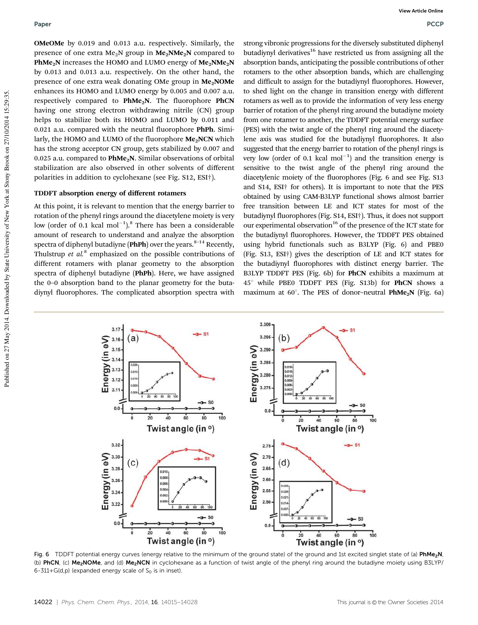OMeOMe by 0.019 and 0.013 a.u. respectively. Similarly, the presence of one extra  $Me<sub>2</sub>N$  group in  $Me<sub>2</sub>NMe<sub>2</sub>N$  compared to PhMe<sub>2</sub>N increases the HOMO and LUMO energy of  $Me<sub>2</sub>NMe<sub>2</sub>N$ by 0.013 and 0.013 a.u. respectively. On the other hand, the presence of one extra weak donating OMe group in Me<sub>2</sub>NOMe enhances its HOMO and LUMO energy by 0.005 and 0.007 a.u. respectively compared to PhMe<sub>2</sub>N. The fluorophore PhCN having one strong electron withdrawing nitrile (CN) group helps to stabilize both its HOMO and LUMO by 0.011 and 0.021 a.u. compared with the neutral fluorophore PhPh. Similarly, the HOMO and LUMO of the fluorophore  $Me<sub>2</sub>NCN$  which has the strong acceptor CN group, gets stabilized by 0.007 and 0.025 a.u. compared to  $PhMe<sub>2</sub>N$ . Similar observations of orbital stabilization are also observed in other solvents of different polarities in addition to cyclohexane (see Fig. S12, ESI†).

#### TDDFT absorption energy of different rotamers

At this point, it is relevant to mention that the energy barrier to rotation of the phenyl rings around the diacetylene moiety is very low (order of 0.1 kcal  $mol^{-1}$ ).<sup>8</sup> There has been a considerable amount of research to understand and analyze the absorption spectra of diphenyl butadiyne (PhPh) over the years.<sup>8-14</sup> Recently, Thulstrup *et al.*<sup>8</sup> emphasized on the possible contributions of different rotamers with planar geometry to the absorption spectra of diphenyl butadiyne (PhPh). Here, we have assigned the 0–0 absorption band to the planar geometry for the butadiynyl fluorophores. The complicated absorption spectra with

strong vibronic progressions for the diversely substituted diphenyl butadiynyl derivatives<sup>16</sup> have restricted us from assigning all the absorption bands, anticipating the possible contributions of other rotamers to the other absorption bands, which are challenging and difficult to assign for the butadiynyl fluorophores. However, to shed light on the change in transition energy with different rotamers as well as to provide the information of very less energy barrier of rotation of the phenyl ring around the butadiyne moiety from one rotamer to another, the TDDFT potential energy surface (PES) with the twist angle of the phenyl ring around the diacetylene axis was studied for the butadiynyl fluorophores. It also suggested that the energy barrier to rotation of the phenyl rings is very low (order of 0.1 kcal  $mol^{-1}$ ) and the transition energy is sensitive to the twist angle of the phenyl ring around the diacetylenic moiety of the fluorophores (Fig. 6 and see Fig. S13 and S14, ESI† for others). It is important to note that the PES obtained by using CAM-B3LYP functional shows almost barrier free transition between LE and ICT states for most of the butadiynyl fluorophores (Fig. S14, ESI†). Thus, it does not support our experimental observation<sup>16</sup> of the presence of the ICT state for the butadiynyl fluorophores. However, the TDDFT PES obtained using hybrid functionals such as B3LYP (Fig. 6) and PBE0 (Fig. S13, ESI†) gives the description of LE and ICT states for the butadiynyl fluorophores with distinct energy barrier. The B3LYP TDDFT PES (Fig. 6b) for PhCN exhibits a maximum at  $45^\circ$  while PBE0 TDDFT PES (Fig. S13b) for **PhCN** shows a maximum at  $60^\circ$ . The PES of donor-neutral PhMe<sub>2</sub>N (Fig. 6a)



Fig. 6 TDDFT potential energy curves (energy relative to the minimum of the ground state) of the ground and 1st excited singlet state of (a) PhMe<sub>2</sub>N, (b) PhCN, (c) Me<sub>2</sub>NOMe, and (d) Me<sub>2</sub>NCN in cyclohexane as a function of twist angle of the phenyl ring around the butadiyne moiety using B3LYP/ 6-311+G(d,p) (expanded energy scale of  $S_0$  is in inset).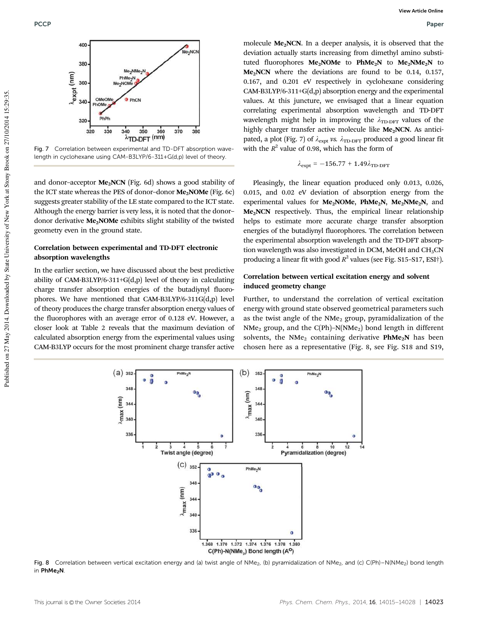

Fig. 7 Correlation between experimental and TD-DFT absorption wavelength in cyclohexane using CAM-B3LYP/6-311+G(d,p) level of theory.

and donor-acceptor  $Me<sub>2</sub>NCN$  (Fig. 6d) shows a good stability of the ICT state whereas the PES of donor-donor  $Me<sub>2</sub>NOMe$  (Fig. 6c) suggests greater stability of the LE state compared to the ICT state. Although the energy barrier is very less, it is noted that the donor– donor derivative Me<sub>2</sub>NOMe exhibits slight stability of the twisted geometry even in the ground state.

#### Correlation between experimental and TD-DFT electronic absorption wavelengths

In the earlier section, we have discussed about the best predictive ability of CAM-B3LYP/6-311+G(d,p) level of theory in calculating charge transfer absorption energies of the butadiynyl fluorophores. We have mentioned that CAM-B3LYP/6-311G(d,p) level of theory produces the charge transfer absorption energy values of the fluorophores with an average error of 0.128 eV. However, a closer look at Table 2 reveals that the maximum deviation of calculated absorption energy from the experimental values using CAM-B3LYP occurs for the most prominent charge transfer active

molecule Me<sub>2</sub>NCN. In a deeper analysis, it is observed that the deviation actually starts increasing from dimethyl amino substituted fluorophores  $Me<sub>2</sub>NOMe$  to  $PhMe<sub>2</sub>N$  to  $Me<sub>2</sub>NMe<sub>2</sub>N$  to  $Me<sub>2</sub>NCN$  where the deviations are found to be 0.14, 0.157, 0.167, and 0.201 eV respectively in cyclohexane considering CAM-B3LYP/6-311+G(d,p) absorption energy and the experimental values. At this juncture, we envisaged that a linear equation correlating experimental absorption wavelength and TD-DFT wavelength might help in improving the  $\lambda_{\text{TD-DFT}}$  values of the highly charger transfer active molecule like  $Me<sub>2</sub>NCN$ . As anticipated, a plot (Fig. 7) of  $\lambda_{\text{expt}}$  *vs.*  $\lambda_{\text{TD-DFT}}$  produced a good linear fit with the  $R^2$  value of 0.98, which has the form of

$$
\lambda_{\rm expt} = -156.77 + 1.49 \lambda_{\rm TD\text{-}DFT}
$$

Pleasingly, the linear equation produced only 0.013, 0.026, 0.015, and 0.02 eV deviation of absorption energy from the experimental values for  $Me<sub>2</sub>NOMe$ ,  $PhMe<sub>2</sub>N$ ,  $Me<sub>2</sub>NMe<sub>2</sub>N$ , and Me<sub>2</sub>NCN respectively. Thus, the empirical linear relationship helps to estimate more accurate charge transfer absorption energies of the butadiynyl fluorophores. The correlation between the experimental absorption wavelength and the TD-DFT absorption wavelength was also investigated in DCM, MeOH and  $CH<sub>3</sub>CN$ producing a linear fit with good *R* 2 values (see Fig. S15–S17, ESI†).

#### Correlation between vertical excitation energy and solvent induced geometry change

Further, to understand the correlation of vertical excitation energy with ground state observed geometrical parameters such as the twist angle of the  $NMe<sub>2</sub>$  group, pyramidalization of the  $NMe<sub>2</sub>$  group, and the C(Ph)–N(NMe<sub>2</sub>) bond length in different solvents, the NMe<sub>2</sub> containing derivative  $PhMe<sub>2</sub>N$  has been chosen here as a representative (Fig. 8, see Fig. S18 and S19,



Fig. 8 Correlation between vertical excitation energy and (a) twist angle of NMe<sub>2</sub>, (b) pyramidalization of NMe<sub>2</sub>, and (c) C(Ph)–N(NMe<sub>2</sub>) bond length in PhMe<sub>2</sub>N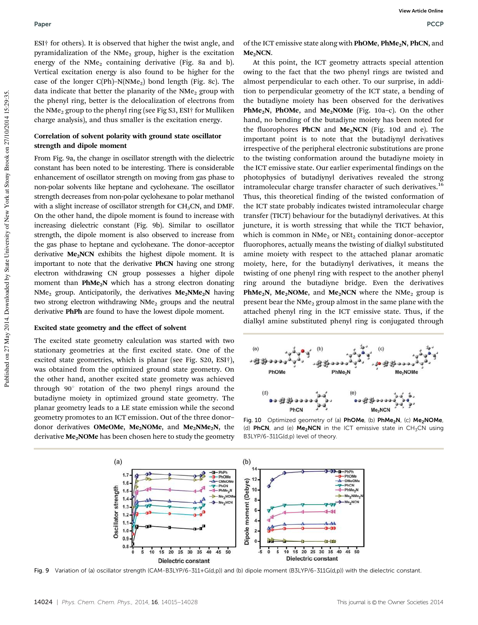#### Paper Paper Policy in the contract of the contract of the contract of the contract of the contract of the contract of the contract of the contract of the contract of the contract of the contract of the contract of the cont

ESI† for others). It is observed that higher the twist angle, and pyramidalization of the  $NMe<sub>2</sub>$  group, higher is the excitation energy of the  $NMe<sub>2</sub>$  containing derivative (Fig. 8a and b). Vertical excitation energy is also found to be higher for the case of the longer  $C(Ph)$ –N(NMe<sub>2</sub>) bond length (Fig. 8c). The data indicate that better the planarity of the  $NMe<sub>2</sub>$  group with the phenyl ring, better is the delocalization of electrons from the NMe<sub>2</sub> group to the phenyl ring (see Fig S3, ESI† for Mulliken charge analysis), and thus smaller is the excitation energy.

### Correlation of solvent polarity with ground state oscillator strength and dipole moment

From Fig. 9a, the change in oscillator strength with the dielectric constant has been noted to be interesting. There is considerable enhancement of oscillator strength on moving from gas phase to non-polar solvents like heptane and cyclohexane. The oscillator strength decreases from non-polar cyclohexane to polar methanol with a slight increase of oscillator strength for  $CH<sub>3</sub>CN$ , and DMF. On the other hand, the dipole moment is found to increase with increasing dielectric constant (Fig. 9b). Similar to oscillator strength, the dipole moment is also observed to increase from the gas phase to heptane and cyclohexane. The donor–acceptor derivative Me<sub>2</sub>NCN exhibits the highest dipole moment. It is important to note that the derivative PhCN having one strong electron withdrawing CN group possesses a higher dipole moment than  $PhMe<sub>2</sub>N$  which has a strong electron donating NMe<sub>2</sub> group. Anticipatorily, the derivatives  $Me<sub>2</sub>NMe<sub>2</sub>N$  having two strong electron withdrawing  $NMe<sub>2</sub>$  groups and the neutral derivative PhPh are found to have the lowest dipole moment.

### Excited state geometry and the effect of solvent

The excited state geometry calculation was started with two stationary geometries at the first excited state. One of the excited state geometries, which is planar (see Fig. S20, ESI†), was obtained from the optimized ground state geometry. On the other hand, another excited state geometry was achieved through  $90^\circ$  rotation of the two phenyl rings around the butadiyne moiety in optimized ground state geometry. The planar geometry leads to a LE state emission while the second geometry promotes to an ICT emission. Out of the three donor– donor derivatives OMeOMe, Me<sub>2</sub>NOMe, and Me<sub>2</sub>NMe<sub>2</sub>N, the derivative  $Me<sub>2</sub>NOMe$  has been chosen here to study the geometry

of the ICT emissive state along with PhOMe, PhMe<sub>2</sub>N, PhCN, and  $Me<sub>2</sub>NCN$ .

At this point, the ICT geometry attracts special attention owing to the fact that the two phenyl rings are twisted and almost perpendicular to each other. To our surprise, in addition to perpendicular geometry of the ICT state, a bending of the butadiyne moiety has been observed for the derivatives **PhMe<sub>2</sub>N**, **PhOMe**, and **Me<sub>2</sub>NOMe** (Fig. 10a–c). On the other hand, no bending of the butadiyne moiety has been noted for the fluorophores PhCN and  $Me<sub>2</sub>NCN$  (Fig. 10d and e). The important point is to note that the butadiynyl derivatives irrespective of the peripheral electronic substitutions are prone to the twisting conformation around the butadiyne moiety in the ICT emissive state. Our earlier experimental findings on the photophysics of butadiynyl derivatives revealed the strong intramolecular charge transfer character of such derivatives.<sup>16</sup> Thus, this theoretical finding of the twisted conformation of the ICT state probably indicates twisted intramolecular charge transfer (TICT) behaviour for the butadiynyl derivatives. At this juncture, it is worth stressing that while the TICT behavior, which is common in  $NMe<sub>2</sub>$  or  $NEt<sub>2</sub>$  containing donor-acceptor fluorophores, actually means the twisting of dialkyl substituted amine moiety with respect to the attached planar aromatic moiety, here, for the butadiynyl derivatives, it means the twisting of one phenyl ring with respect to the another phenyl ring around the butadiyne bridge. Even the derivatives PhMe<sub>2</sub>N, Me<sub>2</sub>NOMe, and Me<sub>2</sub>NCN where the NMe<sub>2</sub> group is present bear the  $NMe<sub>2</sub>$  group almost in the same plane with the attached phenyl ring in the ICT emissive state. Thus, if the dialkyl amine substituted phenyl ring is conjugated through



Fig. 10 Optimized geometry of (a) PhOMe, (b) PhMe<sub>2</sub>N, (c) Me<sub>2</sub>NOMe, (d) PhCN, and (e)  $Me<sub>2</sub>NCN$  in the ICT emissive state in  $CH<sub>3</sub>CN$  using B3LYP/6-311G(d,p) level of theory.



Fig. 9 Variation of (a) oscillator strength (CAM-B3LYP/6-311+G(d,p)) and (b) dipole moment (B3LYP/6-311G(d,p)) with the dielectric constant.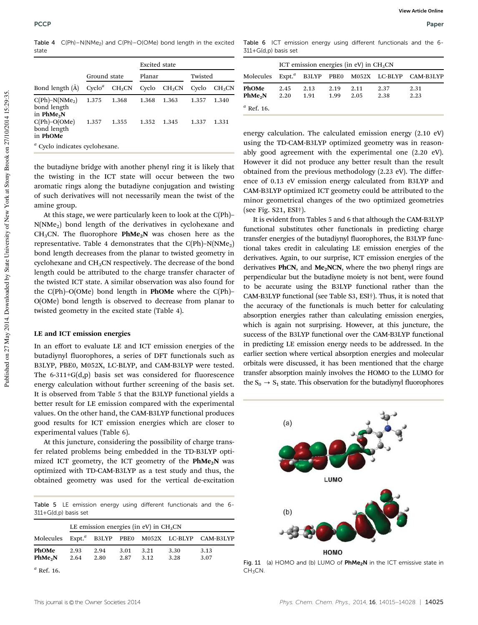Table 4  $C(Ph) - N(NMe<sub>2</sub>)$  and  $C(Ph) - O(OMe)$  bond length in the excited state

|                                                  |              |                    | <b>Excited</b> state |                    |         |                    |
|--------------------------------------------------|--------------|--------------------|----------------------|--------------------|---------|--------------------|
|                                                  | Ground state |                    | Planar               |                    | Twisted |                    |
| Bond length (A)                                  | $Cyclo^a$    | CH <sub>3</sub> CN | Cyclo                | CH <sub>3</sub> CN | Cyclo   | CH <sub>3</sub> CN |
| $C(Ph)-N(NMe2)$<br>bond length<br>in $PhMe2N$    | 1.375        | 1.368              | 1.368                | 1.363              | 1.357   | 1.340              |
| $C(Ph)-O(OMe)$<br>bond length<br>in PhOMe        | 1.357        | 1.355              | 1.352                | 1.345              | 1.337   | 1.331              |
| <sup><i>a</i></sup> Cyclo indicates cyclohexane. |              |                    |                      |                    |         |                    |

the butadiyne bridge with another phenyl ring it is likely that the twisting in the ICT state will occur between the two aromatic rings along the butadiyne conjugation and twisting of such derivatives will not necessarily mean the twist of the amine group.

At this stage, we were particularly keen to look at the C(Ph)–  $N(NMe<sub>2</sub>)$  bond length of the derivatives in cyclohexane and CH<sub>3</sub>CN. The fluorophore  $PhMe<sub>2</sub>N$  was chosen here as the representative. Table 4 demonstrates that the  $C(Ph)-N(NMe<sub>2</sub>)$ bond length decreases from the planar to twisted geometry in cyclohexane and  $CH<sub>3</sub>CN$  respectively. The decrease of the bond length could be attributed to the charge transfer character of the twisted ICT state. A similar observation was also found for the  $C(Ph)$ – $O(OMe)$  bond length in **PhOMe** where the  $C(Ph)$ – O(OMe) bond length is observed to decrease from planar to twisted geometry in the excited state (Table 4).

#### LE and ICT emission energies

In an effort to evaluate LE and ICT emission energies of the butadiynyl fluorophores, a series of DFT functionals such as B3LYP, PBE0, M052X, LC-BLYP, and CAM-B3LYP were tested. The 6-311+G(d,p) basis set was considered for fluorescence energy calculation without further screening of the basis set. It is observed from Table 5 that the B3LYP functional yields a better result for LE emission compared with the experimental values. On the other hand, the CAM-B3LYP functional produces good results for ICT emission energies which are closer to experimental values (Table 6).

At this juncture, considering the possibility of charge transfer related problems being embedded in the TD-B3LYP optimized ICT geometry, the ICT geometry of the  $PhMe<sub>2</sub>N$  was optimized with TD-CAM-B3LYP as a test study and thus, the obtained geometry was used for the vertical de-excitation

Table 5 LE emission energy using different functionals and the 6- 311+G(d,p) basis set

|                              |              |              |              | LE emission energies (in eV) in $CH3CN$ |              |                                                                 |
|------------------------------|--------------|--------------|--------------|-----------------------------------------|--------------|-----------------------------------------------------------------|
|                              |              |              |              |                                         |              | Molecules Expt. <sup>a</sup> B3LYP PBE0 M052X LC-BLYP CAM-B3LYP |
| PhOMe<br>PhMe <sub>2</sub> N | 2.93<br>2.64 | 2.94<br>2.80 | 3.01<br>2.87 | 3.21<br>3.12                            | 3.30<br>3.28 | 3.13<br>3.07                                                    |

*<sup>a</sup>* Ref. 16.

Table 6 ICT emission energy using different functionals and the 6- 311+G(d,p) basis set

|                              |              |              |              | ICT emission energies (in eV) in $CH3CN$ |                                             |              |
|------------------------------|--------------|--------------|--------------|------------------------------------------|---------------------------------------------|--------------|
| Molecules                    |              |              |              |                                          | Expt. <sup>a</sup> B3LYP PBE0 M052X LC-BLYP | CAM-B3LYP    |
| PhOMe<br>PhMe <sub>2</sub> N | 2.45<br>2.20 | 2.13<br>1.91 | 2.19<br>1.99 | 2.11<br>2.05                             | 2.37<br>2.38                                | 2.31<br>2.23 |
| $^a$ Ref. 16.                |              |              |              |                                          |                                             |              |

energy calculation. The calculated emission energy (2.10 eV) using the TD-CAM-B3LYP optimized geometry was in reasonably good agreement with the experimental one (2.20 eV). However it did not produce any better result than the result obtained from the previous methodology (2.23 eV). The difference of 0.13 eV emission energy calculated from B3LYP and CAM-B3LYP optimized ICT geometry could be attributed to the minor geometrical changes of the two optimized geometries (see Fig. S21, ESI†).

It is evident from Tables 5 and 6 that although the CAM-B3LYP functional substitutes other functionals in predicting charge transfer energies of the butadiynyl fluorophores, the B3LYP functional takes credit in calculating LE emission energies of the derivatives. Again, to our surprise, ICT emission energies of the derivatives PhCN, and  $Me<sub>2</sub>NCN$ , where the two phenyl rings are perpendicular but the butadiyne moiety is not bent, were found to be accurate using the B3LYP functional rather than the CAM-B3LYP functional (see Table S3, ESI†). Thus, it is noted that the accuracy of the functionals is much better for calculating absorption energies rather than calculating emission energies, which is again not surprising. However, at this juncture, the success of the B3LYP functional over the CAM-B3LYP functional in predicting LE emission energy needs to be addressed. In the earlier section where vertical absorption energies and molecular orbitals were discussed, it has been mentioned that the charge transfer absorption mainly involves the HOMO to the LUMO for the  $S_0 \rightarrow S_1$  state. This observation for the butadiynyl fluorophores



Fig. 11 (a) HOMO and (b) LUMO of PhMe<sub>2</sub>N in the ICT emissive state in  $CH<sub>3</sub>CN$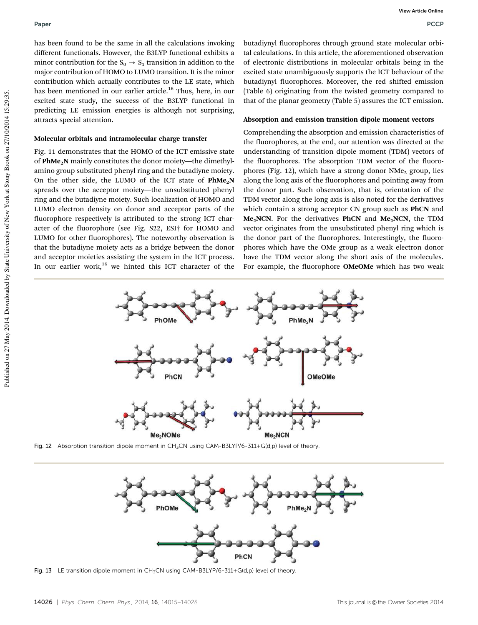has been found to be the same in all the calculations invoking different functionals. However, the B3LYP functional exhibits a minor contribution for the  $S_0 \rightarrow S_1$  transition in addition to the major contribution of HOMO to LUMO transition. It is the minor contribution which actually contributes to the LE state, which has been mentioned in our earlier article.<sup>16</sup> Thus, here, in our excited state study, the success of the B3LYP functional in predicting LE emission energies is although not surprising, attracts special attention.

#### Molecular orbitals and intramolecular charge transfer

Fig. 11 demonstrates that the HOMO of the ICT emissive state of PhMe<sub>2</sub>N mainly constitutes the donor moiety—the dimethylamino group substituted phenyl ring and the butadiyne moiety. On the other side, the LUMO of the ICT state of  $PhMe<sub>2</sub>N$ spreads over the acceptor moiety—the unsubstituted phenyl ring and the butadiyne moiety. Such localization of HOMO and LUMO electron density on donor and acceptor parts of the fluorophore respectively is attributed to the strong ICT character of the fluorophore (see Fig. S22, ESI† for HOMO and LUMO for other fluorophores). The noteworthy observation is that the butadiyne moiety acts as a bridge between the donor and acceptor moieties assisting the system in the ICT process. In our earlier work, $16$  we hinted this ICT character of the

butadiynyl fluorophores through ground state molecular orbital calculations. In this article, the aforementioned observation of electronic distributions in molecular orbitals being in the excited state unambiguously supports the ICT behaviour of the butadiynyl fluorophores. Moreover, the red shifted emission (Table 6) originating from the twisted geometry compared to that of the planar geometry (Table 5) assures the ICT emission.

#### Absorption and emission transition dipole moment vectors

Comprehending the absorption and emission characteristics of the fluorophores, at the end, our attention was directed at the understanding of transition dipole moment (TDM) vectors of the fluorophores. The absorption TDM vector of the fluorophores (Fig. 12), which have a strong donor  $NMe<sub>2</sub>$  group, lies along the long axis of the fluorophores and pointing away from the donor part. Such observation, that is, orientation of the TDM vector along the long axis is also noted for the derivatives which contain a strong acceptor CN group such as **PhCN** and  $Me<sub>2</sub>NCN$ . For the derivatives PhCN and  $Me<sub>2</sub>NCN$ , the TDM vector originates from the unsubstituted phenyl ring which is the donor part of the fluorophores. Interestingly, the fluorophores which have the OMe group as a weak electron donor have the TDM vector along the short axis of the molecules. For example, the fluorophore OMeOMe which has two weak



Fig. 12 Absorption transition dipole moment in CH<sub>3</sub>CN using CAM-B3LYP/6-311+G(d,p) level of theory.



Fig. 13 LE transition dipole moment in  $CH_3CN$  using  $CAM-B3LYP/6-311+G(d,p)$  level of theory.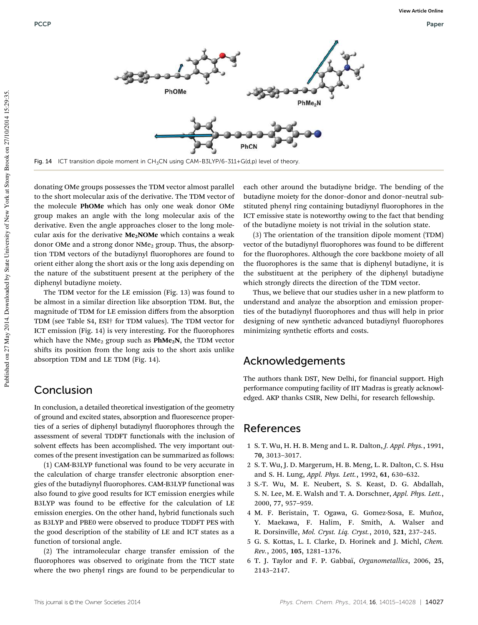

Fig. 14 ICT transition dipole moment in CH<sub>3</sub>CN using CAM-B3LYP/6-311+G(d,p) level of theory.

donating OMe groups possesses the TDM vector almost parallel to the short molecular axis of the derivative. The TDM vector of the molecule PhOMe which has only one weak donor OMe group makes an angle with the long molecular axis of the derivative. Even the angle approaches closer to the long molecular axis for the derivative  $Me<sub>2</sub>NOMe$  which contains a weak donor OMe and a strong donor NMe<sub>2</sub> group. Thus, the absorption TDM vectors of the butadiynyl fluorophores are found to orient either along the short axis or the long axis depending on the nature of the substituent present at the periphery of the diphenyl butadiyne moiety.

The TDM vector for the LE emission (Fig. 13) was found to be almost in a similar direction like absorption TDM. But, the magnitude of TDM for LE emission differs from the absorption TDM (see Table S4, ESI† for TDM values). The TDM vector for ICT emission (Fig. 14) is very interesting. For the fluorophores which have the  $NMe<sub>2</sub>$  group such as  $PhMe<sub>2</sub>N$ , the TDM vector shifts its position from the long axis to the short axis unlike absorption TDM and LE TDM (Fig. 14).

## Conclusion

In conclusion, a detailed theoretical investigation of the geometry of ground and excited states, absorption and fluorescence properties of a series of diphenyl butadiynyl fluorophores through the assessment of several TDDFT functionals with the inclusion of solvent effects has been accomplished. The very important outcomes of the present investigation can be summarized as follows:

(1) CAM-B3LYP functional was found to be very accurate in the calculation of charge transfer electronic absorption energies of the butadiynyl fluorophores. CAM-B3LYP functional was also found to give good results for ICT emission energies while B3LYP was found to be effective for the calculation of LE emission energies. On the other hand, hybrid functionals such as B3LYP and PBE0 were observed to produce TDDFT PES with the good description of the stability of LE and ICT states as a function of torsional angle.

(2) The intramolecular charge transfer emission of the fluorophores was observed to originate from the TICT state where the two phenyl rings are found to be perpendicular to each other around the butadiyne bridge. The bending of the butadiyne moiety for the donor–donor and donor–neutral substituted phenyl ring containing butadiynyl fluorophores in the ICT emissive state is noteworthy owing to the fact that bending of the butadiyne moiety is not trivial in the solution state.

(3) The orientation of the transition dipole moment (TDM) vector of the butadiynyl fluorophores was found to be different for the fluorophores. Although the core backbone moiety of all the fluorophores is the same that is diphenyl butadiyne, it is the substituent at the periphery of the diphenyl butadiyne which strongly directs the direction of the TDM vector.

Thus, we believe that our studies usher in a new platform to understand and analyze the absorption and emission properties of the butadiynyl fluorophores and thus will help in prior designing of new synthetic advanced butadiynyl fluorophores minimizing synthetic efforts and costs.

# Acknowledgements

The authors thank DST, New Delhi, for financial support. High performance computing facility of IIT Madras is greatly acknowledged. AKP thanks CSIR, New Delhi, for research fellowship.

### References

- 1 S. T. Wu, H. H. B. Meng and L. R. Dalton, *J. Appl. Phys.*, 1991, 70, 3013–3017.
- 2 S. T. Wu, J. D. Margerum, H. B. Meng, L. R. Dalton, C. S. Hsu and S. H. Lung, *Appl. Phys. Lett.*, 1992, 61, 630–632.
- 3 S.-T. Wu, M. E. Neubert, S. S. Keast, D. G. Abdallah, S. N. Lee, M. E. Walsh and T. A. Dorschner, *Appl. Phys. Lett.*, 2000, 77, 957–959.
- 4 M. F. Beristain, T. Ogawa, G. Gomez-Sosa, E. Muñoz, Y. Maekawa, F. Halim, F. Smith, A. Walser and R. Dorsinville, *Mol. Cryst. Liq. Cryst.*, 2010, 521, 237–245.
- 5 G. S. Kottas, L. I. Clarke, D. Horinek and J. Michl, *Chem. Rev.*, 2005, 105, 1281–1376.
- 6 T. J. Taylor and F. P. Gabbaı¨, *Organometallics*, 2006, 25, 2143–2147.